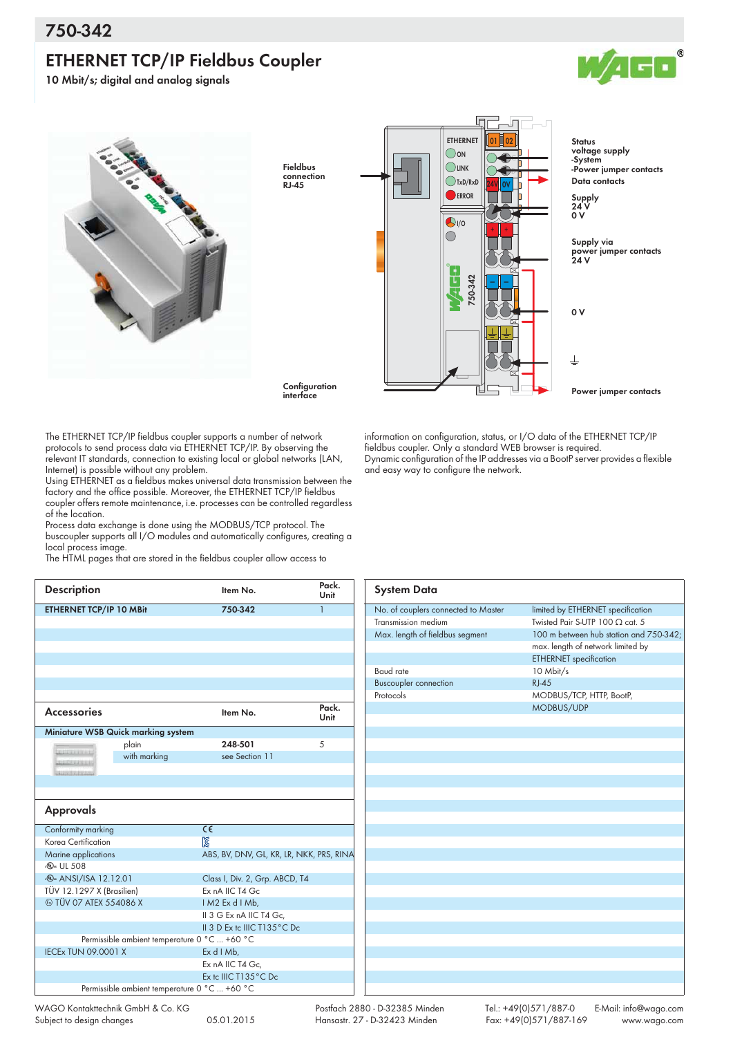## **ETHERNET TCP/IP Fieldbus Coupler**



**10 Mbit/s; digital and analog signals**



Fieldbus connection  $R$ <sub>1-45</sub>



**Configuration** interface

The ETHERNET TCP/IP fieldbus coupler supports a number of network protocols to send process data via ETHERNET TCP/IP. By observing the relevant IT standards, connection to existing local or global networks (LAN, Internet) is possible without any problem.

Using ETHERNET as a fieldbus makes universal data transmission between the factory and the office possible. Moreover, the ETHERNET TCP/IP fieldbus coupler offers remote maintenance, i.e. processes can be controlled regardless of the location.

Process data exchange is done using the MODBUS/TCP protocol. The buscoupler supports all I/O modules and automatically configures, creating a local process image.

The HTML pages that are stored in the fieldbus coupler allow access to

| <b>Description</b>                        |              | Item No.                                     | Pack.<br>Unit |  |  |
|-------------------------------------------|--------------|----------------------------------------------|---------------|--|--|
| ETHERNET TCP/IP 10 MBit                   |              | 750-342                                      | $\mathbf{1}$  |  |  |
|                                           |              |                                              |               |  |  |
|                                           |              |                                              |               |  |  |
|                                           |              |                                              |               |  |  |
|                                           |              |                                              |               |  |  |
|                                           |              |                                              |               |  |  |
|                                           |              |                                              |               |  |  |
| <b>Accessories</b>                        |              | Item No.                                     | Pack.<br>Unit |  |  |
| <b>Miniature WSB Quick marking system</b> |              |                                              |               |  |  |
| <b>DECEMBER 2</b>                         | plain        | 248-501                                      | 5             |  |  |
| <b>CONTRACTOR</b>                         | with marking | see Section 11                               |               |  |  |
| 3335555555555                             |              |                                              |               |  |  |
|                                           |              |                                              |               |  |  |
|                                           |              |                                              |               |  |  |
| <b>Approvals</b>                          |              |                                              |               |  |  |
| Conformity marking                        |              | $\overline{\epsilon}$                        |               |  |  |
| Korea Certification                       |              | $\mathbb{Z}$                                 |               |  |  |
| Marine applications                       |              | ABS, BV, DNV, GL, KR, LR, NKK, PRS, RINA     |               |  |  |
|                                           |              |                                              |               |  |  |
| . <sub>(40</sub> UL 508                   |              |                                              |               |  |  |
| <b>.</b> ANSI/ISA 12.12.01                |              | Class I, Div. 2, Grp. ABCD, T4               |               |  |  |
| TÜV 12.1297 X (Brasilien)                 |              | Ex nA IIC T4 Gc                              |               |  |  |
| <b>E TÜV 07 ATEX 554086 X</b>             |              | IM2 Ex d I Mb,                               |               |  |  |
|                                           |              | II 3 G Ex nA IIC T4 Gc.                      |               |  |  |
|                                           |              | II 3 D Ex to IIIC T135°C Do                  |               |  |  |
|                                           |              | Permissible ambient temperature 0 °C  +60 °C |               |  |  |
| <b>IECEx TUN 09.0001 X</b>                |              | Ex d I Mb,                                   |               |  |  |
|                                           |              | Ex nA IIC T4 Gc,<br>Ex to IIIC T135°C Do     |               |  |  |

information on configuration, status, or I/O data of the ETHERNET TCP/IP fieldbus coupler. Only a standard WEB browser is required. Dynamic configuration of the IP addresses via a BootP server provides a flexible and easy way to configure the network.

| <b>System Data</b>                  |                                        |
|-------------------------------------|----------------------------------------|
| No. of couplers connected to Master | limited by ETHERNET specification      |
| Transmission medium                 | Twisted Pair S-UTP 100 $\Omega$ cat. 5 |
| Max. length of fieldbus segment     | 100 m between hub station and 750-342; |
|                                     | max. length of network limited by      |
|                                     | <b>ETHERNET</b> specification          |
| <b>Baud</b> rate                    | 10 Mbit/s                              |
| <b>Buscoupler connection</b>        | $RJ-45$                                |
| Protocols                           | MODBUS/TCP, HTTP, BootP,               |
|                                     | MODBUS/UDP                             |
|                                     |                                        |
|                                     |                                        |
|                                     |                                        |
|                                     |                                        |
|                                     |                                        |
|                                     |                                        |
|                                     |                                        |
|                                     |                                        |
|                                     |                                        |
|                                     |                                        |
|                                     |                                        |
|                                     |                                        |
|                                     |                                        |
|                                     |                                        |
|                                     |                                        |
|                                     |                                        |
|                                     |                                        |
|                                     |                                        |
|                                     |                                        |
|                                     |                                        |
|                                     |                                        |
|                                     |                                        |
|                                     |                                        |
|                                     |                                        |

 Postfach 2880 - D-32385 Minden Hansastr. 27 - D-32423 Minden

Tel.: +49(0)571/887-0 E-Mail: info@wago.com Fax: +49(0)571/887-169 www.wago.com